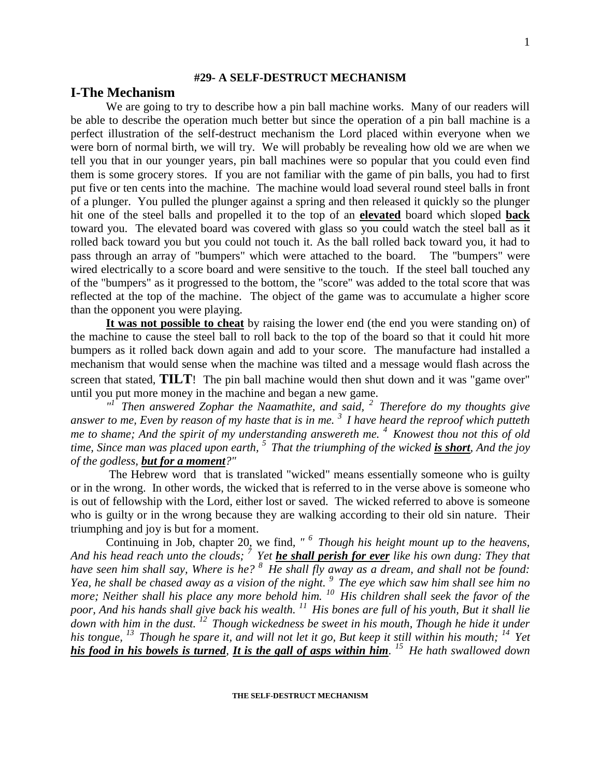#### **#29- A SELF-DESTRUCT MECHANISM**

### **I-The Mechanism**

We are going to try to describe how a pin ball machine works. Many of our readers will be able to describe the operation much better but since the operation of a pin ball machine is a perfect illustration of the self-destruct mechanism the Lord placed within everyone when we were born of normal birth, we will try. We will probably be revealing how old we are when we tell you that in our younger years, pin ball machines were so popular that you could even find them is some grocery stores. If you are not familiar with the game of pin balls, you had to first put five or ten cents into the machine. The machine would load several round steel balls in front of a plunger. You pulled the plunger against a spring and then released it quickly so the plunger hit one of the steel balls and propelled it to the top of an **elevated** board which sloped **back** toward you. The elevated board was covered with glass so you could watch the steel ball as it rolled back toward you but you could not touch it. As the ball rolled back toward you, it had to pass through an array of "bumpers" which were attached to the board. The "bumpers" were wired electrically to a score board and were sensitive to the touch. If the steel ball touched any of the "bumpers" as it progressed to the bottom, the "score" was added to the total score that was reflected at the top of the machine. The object of the game was to accumulate a higher score than the opponent you were playing.

**It was not possible to cheat** by raising the lower end (the end you were standing on) of the machine to cause the steel ball to roll back to the top of the board so that it could hit more bumpers as it rolled back down again and add to your score. The manufacture had installed a mechanism that would sense when the machine was tilted and a message would flash across the screen that stated, **TILT**! The pin ball machine would then shut down and it was "game over" until you put more money in the machine and began a new game.

<sup>*n*</sup> Then answered Zophar the Naamathite, and said, <sup>2</sup> Therefore do my thoughts give *answer to me, Even by reason of my haste that is in me. <sup>3</sup>I have heard the reproof which putteth me to shame; And the spirit of my understanding answereth me. <sup>4</sup>Knowest thou not this of old time, Since man was placed upon earth, <sup>5</sup>That the triumphing of the wicked is short, And the joy of the godless, but for a moment?"*

The Hebrew word that is translated "wicked" means essentially someone who is guilty or in the wrong. In other words, the wicked that is referred to in the verse above is someone who is out of fellowship with the Lord, either lost or saved. The wicked referred to above is someone who is guilty or in the wrong because they are walking according to their old sin nature. Their triumphing and joy is but for a moment.

Continuing in Job, chapter 20, we find*, " <sup>6</sup>Though his height mount up to the heavens, And his head reach unto the clouds; <sup>7</sup>Yet he shall perish for ever like his own dung: They that have seen him shall say, Where is he? <sup>8</sup>He shall fly away as a dream, and shall not be found: Yea, he shall be chased away as a vision of the night. <sup>9</sup>The eye which saw him shall see him no more; Neither shall his place any more behold him. <sup>10</sup>His children shall seek the favor of the poor, And his hands shall give back his wealth. <sup>11</sup>His bones are full of his youth, But it shall lie down with him in the dust. <sup>12</sup>Though wickedness be sweet in his mouth, Though he hide it under his tongue, <sup>13</sup>Though he spare it, and will not let it go, But keep it still within his mouth; <sup>14</sup>Yet his food in his bowels is turned, It is the gall of asps within him. <sup>15</sup>He hath swallowed down*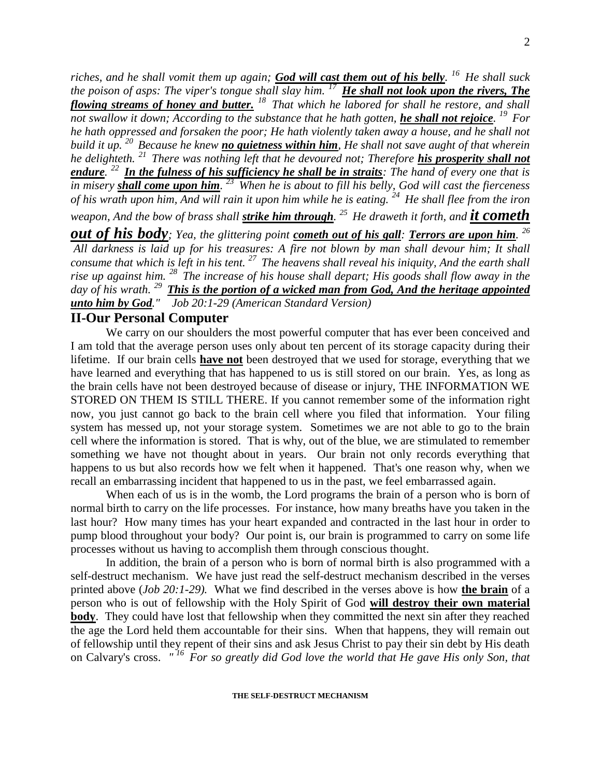*riches, and he shall vomit them up again; God will cast them out of his belly. <sup>16</sup>He shall suck the poison of asps: The viper's tongue shall slay him. <sup>17</sup>He shall not look upon the rivers, The flowing streams of honey and butter. <sup>18</sup>That which he labored for shall he restore, and shall not swallow it down; According to the substance that he hath gotten, he shall not rejoice.* <sup>19</sup> For *he hath oppressed and forsaken the poor; He hath violently taken away a house, and he shall not build it up. <sup>20</sup>Because he knew no quietness within him, He shall not save aught of that wherein he delighteth. <sup>21</sup>There was nothing left that he devoured not; Therefore his prosperity shall not endure. <sup>22</sup>In the fulness of his sufficiency he shall be in straits: The hand of every one that is in misery shall come upon him. <sup>23</sup>When he is about to fill his belly, God will cast the fierceness of his wrath upon him, And will rain it upon him while he is eating. <sup>24</sup>He shall flee from the iron weapon, And the bow of brass shall strike him through. <sup>25</sup>He draweth it forth, and it cometh out of his body; Yea, the glittering point cometh out of his gall: Terrors are upon him. 26 All darkness is laid up for his treasures: A fire not blown by man shall devour him; It shall consume that which is left in his tent. <sup>27</sup>The heavens shall reveal his iniquity, And the earth shall rise up against him. <sup>28</sup>The increase of his house shall depart; His goods shall flow away in the day of his wrath. <sup>29</sup>This is the portion of a wicked man from God, And the heritage appointed unto him by God." Job 20:1-29 (American Standard Version)*

#### **II-Our Personal Computer**

We carry on our shoulders the most powerful computer that has ever been conceived and I am told that the average person uses only about ten percent of its storage capacity during their lifetime. If our brain cells **have not** been destroyed that we used for storage, everything that we have learned and everything that has happened to us is still stored on our brain. Yes, as long as the brain cells have not been destroyed because of disease or injury, THE INFORMATION WE STORED ON THEM IS STILL THERE. If you cannot remember some of the information right now, you just cannot go back to the brain cell where you filed that information. Your filing system has messed up, not your storage system. Sometimes we are not able to go to the brain cell where the information is stored. That is why, out of the blue, we are stimulated to remember something we have not thought about in years. Our brain not only records everything that happens to us but also records how we felt when it happened. That's one reason why, when we recall an embarrassing incident that happened to us in the past, we feel embarrassed again.

When each of us is in the womb, the Lord programs the brain of a person who is born of normal birth to carry on the life processes. For instance, how many breaths have you taken in the last hour? How many times has your heart expanded and contracted in the last hour in order to pump blood throughout your body? Our point is, our brain is programmed to carry on some life processes without us having to accomplish them through conscious thought.

In addition, the brain of a person who is born of normal birth is also programmed with a self-destruct mechanism. We have just read the self-destruct mechanism described in the verses printed above (*Job 20:1-29).* What we find described in the verses above is how **the brain** of a person who is out of fellowship with the Holy Spirit of God **will destroy their own material body**. They could have lost that fellowship when they committed the next sin after they reached the age the Lord held them accountable for their sins. When that happens, they will remain out of fellowship until they repent of their sins and ask Jesus Christ to pay their sin debt by His death on Calvary's cross. *" <sup>16</sup>For so greatly did God love the world that He gave His only Son, that*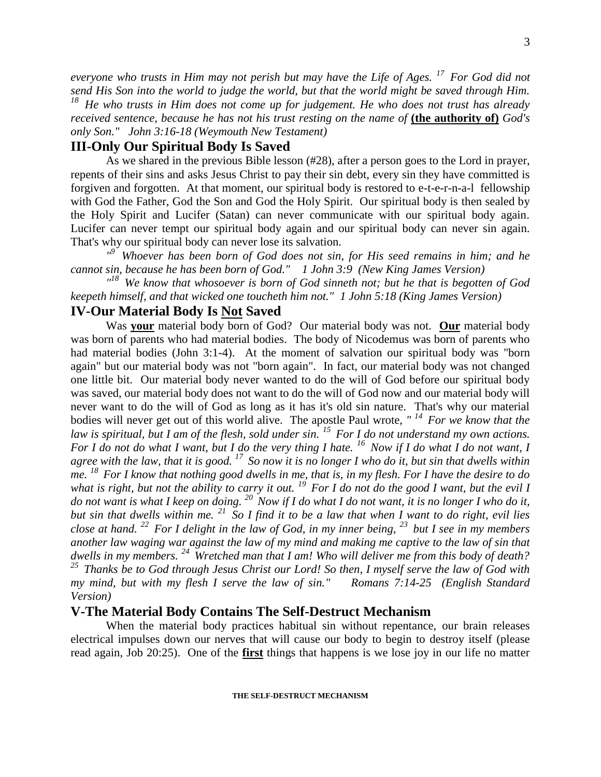*everyone who trusts in Him may not perish but may have the Life of Ages. <sup>17</sup>For God did not send His Son into the world to judge the world, but that the world might be saved through Him. <sup>18</sup>He who trusts in Him does not come up for judgement. He who does not trust has already received sentence, because he has not his trust resting on the name of* (the authority of) God's *only Son." John 3:16-18 (Weymouth New Testament)*

# **III-Only Our Spiritual Body Is Saved**

As we shared in the previous Bible lesson (#28), after a person goes to the Lord in prayer, repents of their sins and asks Jesus Christ to pay their sin debt, every sin they have committed is forgiven and forgotten. At that moment, our spiritual body is restored to e-t-e-r-n-a-l fellowship with God the Father, God the Son and God the Holy Spirit. Our spiritual body is then sealed by the Holy Spirit and Lucifer (Satan) can never communicate with our spiritual body again. Lucifer can never tempt our spiritual body again and our spiritual body can never sin again. That's why our spiritual body can never lose its salvation.

<sup>19</sup> Whoever has been born of God does not sin, for His seed remains in him; and he *cannot sin, because he has been born of God." 1 John 3:9 (New King James Version)* 

<sup> $18$ </sup> We know that whosoever is born of God sinneth not; but he that is begotten of God *keepeth himself, and that wicked one toucheth him not." 1 John 5:18 (King James Version)* 

### **IV-Our Material Body Is Not Saved**

Was **your** material body born of God? Our material body was not. **Our** material body was born of parents who had material bodies. The body of Nicodemus was born of parents who had material bodies (John 3:1-4). At the moment of salvation our spiritual body was "born again" but our material body was not "born again". In fact, our material body was not changed one little bit. Our material body never wanted to do the will of God before our spiritual body was saved, our material body does not want to do the will of God now and our material body will never want to do the will of God as long as it has it's old sin nature. That's why our material bodies will never get out of this world alive. The apostle Paul wrote, *" <sup>14</sup>For we know that the law is spiritual, but I am of the flesh, sold under sin. <sup>15</sup>For I do not understand my own actions. For I do not do what I want, but I do the very thing I hate. <sup>16</sup>Now if I do what I do not want, I agree with the law, that it is good. <sup>17</sup>So now it is no longer I who do it, but sin that dwells within me. <sup>18</sup>For I know that nothing good dwells in me, that is, in my flesh. For I have the desire to do*  what is right, but not the ability to carry it out.  $^{19}$  For I do not do the good I want, but the evil I *do not want is what I keep on doing. <sup>20</sup>Now if I do what I do not want, it is no longer I who do it, but sin that dwells within me. <sup>21</sup>So I find it to be a law that when I want to do right, evil lies close at hand. <sup>22</sup>For I delight in the law of God, in my inner being, <sup>23</sup>but I see in my members another law waging war against the law of my mind and making me captive to the law of sin that dwells in my members. <sup>24</sup>Wretched man that I am! Who will deliver me from this body of death? <sup>25</sup>Thanks be to God through Jesus Christ our Lord! So then, I myself serve the law of God with my mind, but with my flesh I serve the law of sin." Romans 7:14-25 (English Standard Version)*

# **V-The Material Body Contains The Self-Destruct Mechanism**

When the material body practices habitual sin without repentance, our brain releases electrical impulses down our nerves that will cause our body to begin to destroy itself (please read again, Job 20:25). One of the **first** things that happens is we lose joy in our life no matter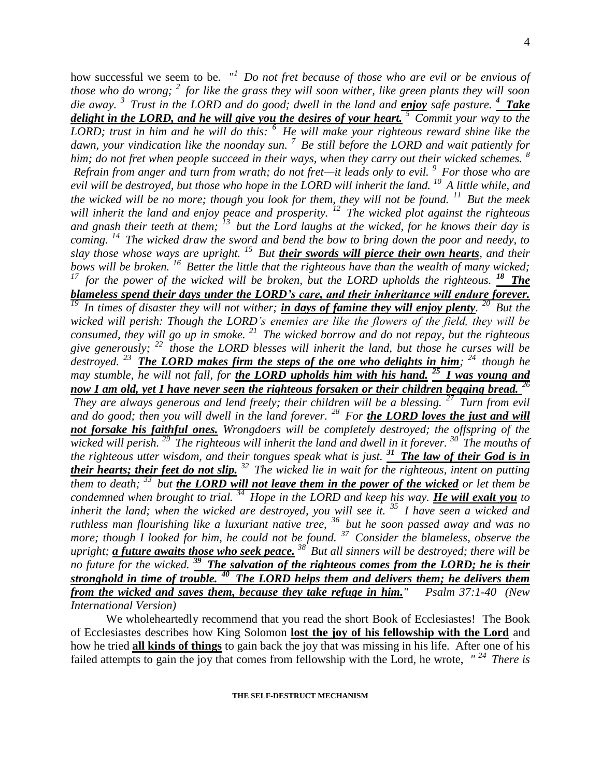how successful we seem to be. " *<sup>1</sup>Do not fret because of those who are evil or be envious of those who do wrong; <sup>2</sup>for like the grass they will soon wither, like green plants they will soon die away. <sup>3</sup>Trust in the LORD and do good; dwell in the land and enjoy safe pasture. <sup>4</sup>Take delight in the LORD, and he will give you the desires of your heart. <sup>5</sup>Commit your way to the LORD; trust in him and he will do this: <sup>6</sup>He will make your righteous reward shine like the dawn, your vindication like the noonday sun. <sup>7</sup>Be still before the LORD and wait patiently for him; do not fret when people succeed in their ways, when they carry out their wicked schemes. <sup>8</sup> Refrain from anger and turn from wrath; do not fret—it leads only to evil. <sup>9</sup>For those who are evil will be destroyed, but those who hope in the LORD will inherit the land. <sup>10</sup>A little while, and the wicked will be no more; though you look for them, they will not be found. <sup>11</sup>But the meek will inherit the land and enjoy peace and prosperity. <sup>12</sup>The wicked plot against the righteous and gnash their teeth at them; <sup>13</sup>but the Lord laughs at the wicked, for he knows their day is coming. <sup>14</sup>The wicked draw the sword and bend the bow to bring down the poor and needy, to slay those whose ways are upright. <sup>15</sup>But their swords will pierce their own hearts, and their bows will be broken. <sup>16</sup>Better the little that the righteous have than the wealth of many wicked; <sup>17</sup>for the power of the wicked will be broken, but the LORD upholds the righteous. <sup>18</sup>The blameless spend their days under the LORD's care, and their inheritance will endure forever. <sup>19</sup>In times of disaster they will not wither; in days of famine they will enjoy plenty. <sup>20</sup>But the wicked will perish: Though the LORD's enemies are like the flowers of the field, they will be consumed, they will go up in smoke. <sup>21</sup>The wicked borrow and do not repay, but the righteous give generously; <sup>22</sup>those the LORD blesses will inherit the land, but those he curses will be destroyed. <sup>23</sup>The LORD makes firm the steps of the one who delights in him; <sup>24</sup>though he may stumble, he will not fall, for the LORD upholds him with his hand. <sup>25</sup>I was young and now I am old, yet I have never seen the righteous forsaken or their children begging bread. <sup>26</sup> They are always generous and lend freely; their children will be a blessing. <sup>27</sup>Turn from evil and do good; then you will dwell in the land forever. <sup>28</sup>For the LORD loves the just and will not forsake his faithful ones. Wrongdoers will be completely destroyed; the offspring of the wicked will perish. <sup>29</sup>The righteous will inherit the land and dwell in it forever. <sup>30</sup>The mouths of the righteous utter wisdom, and their tongues speak what is just. <sup>31</sup>The law of their God is in their hearts; their feet do not slip. <sup>32</sup>The wicked lie in wait for the righteous, intent on putting them to death; <sup>33</sup>but the LORD will not leave them in the power of the wicked or let them be condemned when brought to trial. <sup>34</sup>Hope in the LORD and keep his way. He will exalt you to inherit the land; when the wicked are destroyed, you will see it. <sup>35</sup>I have seen a wicked and ruthless man flourishing like a luxuriant native tree, <sup>36</sup>but he soon passed away and was no more; though I looked for him, he could not be found.* <sup>37</sup>*Consider the blameless, observe the more; though I looked for him, he could not be found.* <sup>37</sup>*Consider the blameless, observe the upright; a future awaits those who seek peace. <sup>38</sup>But all sinners will be destroyed; there will be no future for the wicked. <sup>39</sup>The salvation of the righteous comes from the LORD; he is their* 

*stronghold in time of trouble. <sup>40</sup>The LORD helps them and delivers them; he delivers them from the wicked and saves them, because they take refuge in him." Psalm 37:1-40 (New International Version)* 

We wholeheartedly recommend that you read the short Book of Ecclesiastes! The Book of Ecclesiastes describes how King Solomon **lost the joy of his fellowship with the Lord** and how he tried **all kinds of things** to gain back the joy that was missing in his life. After one of his failed attempts to gain the joy that comes from fellowship with the Lord, he wrote, *" <sup>24</sup>There is*